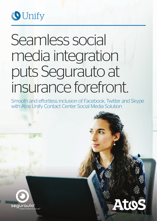

# Seamless social media integration puts Segurauto at insurance forefront.

Smooth and effortless inclusion of Facebook, Twitter and Skype with Atos Unify Contact Center Social Media Solution



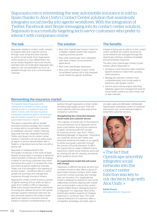Segurauto.com is reinventing the way automobile insurance is sold in Spain thanks to Atos Unify's Contact Center solution that seamlessly integrates social media into agents' workflows. With the integration of Twitter, Facebook and Skype messaging into its contact center solution, Segurauto is successfully targeting tech-savvy customers who prefer to interact with companies online.

### The task

Segurauto needed a contact center solution to support sales and customer service through voice, email and web channels as well as social media. Since Segurauto's online presence is a key differentiator, the social media integration had to be smooth, seamless and uncomplicated. Segurauto also opted to rule out automation as much as possible through any of its communication channels.

## The solution

- Atos Unify OpenScape Contact Center for a reliable, scalable system that supports ongoing business growth
- Atos Unify OpenScape Voice integrated with other Unified Communications applications
- Atos Unify OpenScape Xpressions
- Atos Unify OpenScape Contact Center Social Media Solution Kit to fully integrate social media into agents' workflows

# The benefits

Instead of being just an add-on to the contact center workflow, all contacts received via social networks are managed through the OpenScape interface, enabling immediate and personalized responses.

The Atos Unify OpenScape Contact Center solution allows Segurauto to:

- Introduce a new insurance sales model for Spanish brokers to match their growing online presence
- Manage all customer contacts more comprehensively, from social media to telephone, with greater control
- Use the same routing engine, reporting database, agent and management tools for social media contacts as voice, email, chat or web channels

# Reinventing the insurance market

The Spanish brand Segurauto.com represents an insurance brokers group operating both in a traditional way and online. It works with the best insurance companies towards its goal to reinvent and lead the brokers' presence on the Spanish automobile insurance market.

This goal is supported with an equally innovative business strategy. Not content to merely add-on social media channels to traditional customer contact methods, Segurauto has fully integrated Facebook, Twitter and Skype into its contact center solution. Customers can just as easily reach an agent or service representative with a Tweet or a Facebook post as they can with a phone call.

Segurauto is headquartered in the Principality of Asturias, in the north of Spain. Already several years in business, it started its online activities in February 2013. Its strategy is based on servicing customers how, when and where they want it. To achieve this, they use online as well as traditional channels. Today, one of its strengths is the opening of service centers – storefront offices in which people can purchase and manage their insurances through insurance brokers.

Segurauto's contact center employs a group of agents working 12-hour shifts six days a week (from 9 AM to 2 PM on Saturdays). While voice remains the primary channel for incoming and callback functions, the system strongly supports interactive web, text, fax, and voicemail solutions. All contact center agents are experts in insurance and are trained to respond comprehensively to all

queries through Segurauto's contact center, providing high-quality service. They use social networks with the same ease as the company's customers.

#### Strengthening the connection between social media and customer service

"The majority of brands rely on the presence of social networks, but at Segurauto we've gone a step farther, ensuring this presence is tightly connected with the concept of customer service," says Ana C. Pérez, Marketing Manager of Segurauto. "Integrating our customer service with Twitter and Facebook enhances the ability of our agents to advise and guide customers through the process of buying insurance. It offers the opportunity to create a different brand experience, where social networks aren't just for sharing, but also for advising, and above all for guidance at any time."

#### An organizational model that will evolve with change

"Segurauto is different because we don't just compare insurance rates. We're a group of automobile insurance brokers which helps customers choose, purchase and manage their car insurance. Our organizational model is designed to respond to new social relationship scenarios, aligning with market and communication rules as they evolve," explains Rafael Álvarez, Managing Director of Segurauto. For Segurauto, Atos Unify's OpenScape solution supports its strategic objectives in numerous ways. The multichannel interaction of customers offers a competitive advantage, and adds value in

pre-sales, sales and aftersales. Additionally, OpenScape's centralized control of customer interactions over social networks helps to streamline customer services.



« The fact that OpenScape smoothly integrates social networks into the contact center function was key to our decision to go with Atos Unify. »

Rafael Álvarez Managing Director, Segurauto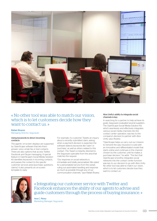

# « No other tool was able to match our vision, which is to let customers decide how they want to contact us. »

#### Rafael Álvarez

Managing Director, Segurauto

#### Using keywords to direct incoming contacts

The agents' on-screen displays are supported by OpenScape software that lets them answer voice, email, fax or text contacts. There are also options that access Twitter, Facebook and Skype messaging. A special feature in OpenScape's Social Media Solution Kit identifies keywords in incoming contacts, and passes the contact to the specific customer services area (purchase, questions, claims). It also presents an on-screen template to reply.

For example, if a customer Tweets an inquiry about a recently submitted claim, asking when a payment decision is expected, the software detects keywords like 'claim' or 'purchase', as well as others related to this contact. The Tweet is instantly directed to the Segurauto specialist from the area that matches the request.

"Our response on social networks is immediate and totally personalized. We opted for a personalized service from the outset, ruling out automated handling and response as much as possible through any of our communication channels," says Rafael Álvarez.

#### Atos Unify's ability to integrate social channels is key

In searching for a partner to help achieve its goals, Segurauto evaluated several suppliers. The OpenScape Social Media Solution Kit, which seamlessly and effectively integrates various social media channels into the contact center operation, was key to the company's decision to partner with Atos Unify, says Álvarez.

"OpenScape helps us carry out our mission: to reinvent the way insurance is sold with an innovative and differentiated model that starts online and continues in the channel chosen by the customer, until he makes a purchase decision," he adds. "The fact that OpenScape smoothly integrates social networks into the contact center function was key to our decision to go with Atos Unify. No other tool was able to match our vision, which is to let customers decide how they want to contact us."



« Integrating our customer service with Twitter and Facebook enhances the ability of our agents to advise and guide customers through the process of buying insurance. »

Ana C. Pérez Marketing Manager, Segurauto